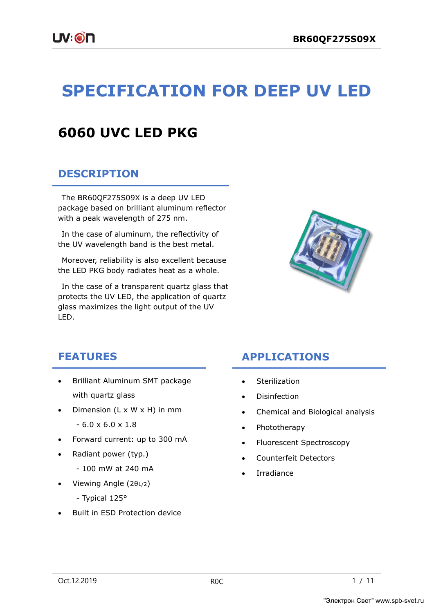# **SPECIFICATION FOR DEEP UV LED**

## **6060 UVC LED PKG**

### **DESCRIPTION**

The BR60QF275S09X is a deep UV LED package based on brilliant aluminum reflector with a peak wavelength of 275 nm.

In the case of aluminum, the reflectivity of the UV wavelength band is the best metal.

Moreover, reliability is also excellent because the LED PKG body radiates heat as a whole.

In the case of a transparent quartz glass that protects the UV LED, the application of quartz glass maximizes the light output of the UV LED.



### **FEATURES**

- Brilliant Aluminum SMT package with quartz glass
- Dimension  $(L \times W \times H)$  in mm
	- $-6.0 \times 6.0 \times 1.8$
- Forward current: up to 300 mA
- Radiant power (typ.)
	- 100 mW at 240 mA
- Viewing Angle (2θ1/2)
	- Typical 125°
- Built in ESD Protection device

## **APPLICATIONS**

- Sterilization
- Disinfection
- Chemical and Biological analysis
- Phototherapy
- Fluorescent Spectroscopy
- Counterfeit Detectors
- **Irradiance**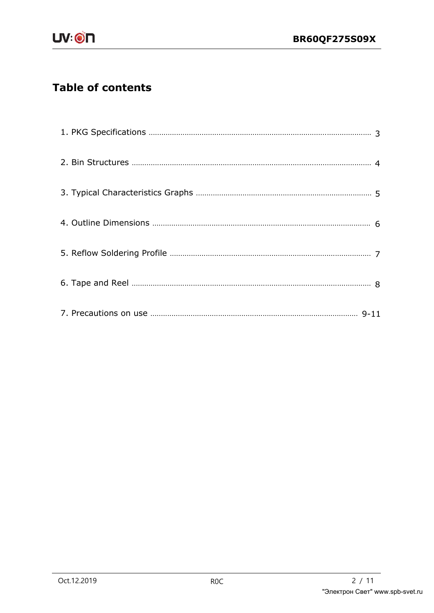## **Table of contents**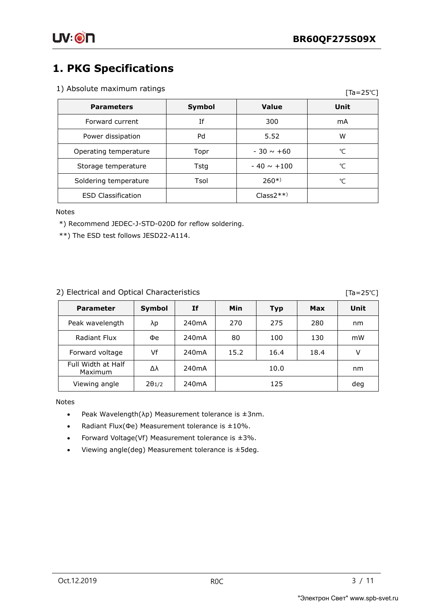$Ta = 25°C$ 

## **1. PKG Specifications**

### 1) Absolute maximum ratings

|                           |        |                 | -    |
|---------------------------|--------|-----------------|------|
| <b>Parameters</b>         | Symbol | Value           | Unit |
| Forward current           | Ιf     | 300             | mA   |
| Power dissipation         | Pd     | 5.52            | w    |
| Operating temperature     | Topr   | $-30 \sim +60$  | ℃    |
| Storage temperature       | Tstg   | $-40 \sim +100$ | ℃    |
| Soldering temperature     | Tsol   | $260*)$         | °C   |
| <b>ESD Classification</b> |        | $Class2**$      |      |

Notes

\*) Recommend JEDEC-J-STD-020D for reflow soldering.

\*\*) The ESD test follows JESD22-A114.

### 2) Electrical and Optical Characteristics

[Ta=25℃]

| <b>Parameter</b>              | Symbol                   | Ιf                 | Min  | <b>Typ</b> | Max  | Unit |
|-------------------------------|--------------------------|--------------------|------|------------|------|------|
| Peak wavelength               | λp                       | 240 <sub>m</sub> A | 270  | 275        | 280  | nm   |
| Radiant Flux                  | Фe                       | 240 <sub>m</sub> A | 80   | 100        | 130  | mW   |
| Forward voltage               | Vf                       | 240 <sub>m</sub> A | 15.2 | 16.4       | 18.4 | v    |
| Full Width at Half<br>Maximum | Δλ                       | 240 <sub>m</sub> A | 10.0 |            | nm   |      |
| Viewing angle                 | $2\theta$ <sub>1/2</sub> | 240 <sub>m</sub> A |      | 125        |      | deg  |

Notes

- Peak Wavelength( $\lambda$ p) Measurement tolerance is  $\pm 3$ nm.
- Radiant Flux(Φe) Measurement tolerance is ± 10%.
- Forward Voltage(Vf) Measurement tolerance is  $\pm 3\%$ .
- Viewing angle(deg) Measurement tolerance is ± 5deg.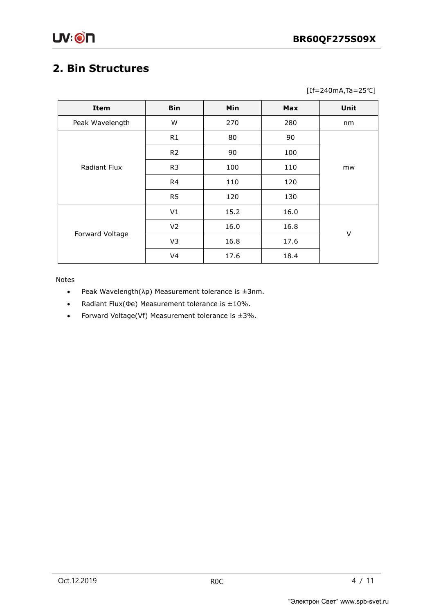## **2. Bin Structures**

[If=240mA,Ta=25℃]

| Item            | <b>Bin</b>     | <b>Min</b> | <b>Max</b> | Unit |
|-----------------|----------------|------------|------------|------|
| Peak Wavelength | W              | 270        | 280        | nm   |
| Radiant Flux    | R1             | 80         | 90         |      |
|                 | R <sub>2</sub> | 90         | 100        | mw   |
|                 | R <sub>3</sub> | 100        | 110        |      |
|                 | R4             | 110        | 120        |      |
|                 | R <sub>5</sub> | 120        | 130        |      |
|                 | V1             | 15.2       | 16.0       |      |
|                 | V <sub>2</sub> | 16.0       | 16.8       | V    |
| Forward Voltage | V3             | 16.8       | 17.6       |      |
|                 | V <sub>4</sub> | 17.6       | 18.4       |      |

Notes

- Peak Wavelength( $\lambda$ p) Measurement tolerance is  $\pm 3$ nm.
- Radiant Flux(Φe) Measurement tolerance is ± 10%.
- Forward Voltage(Vf) Measurement tolerance is  $\pm 3\%$ .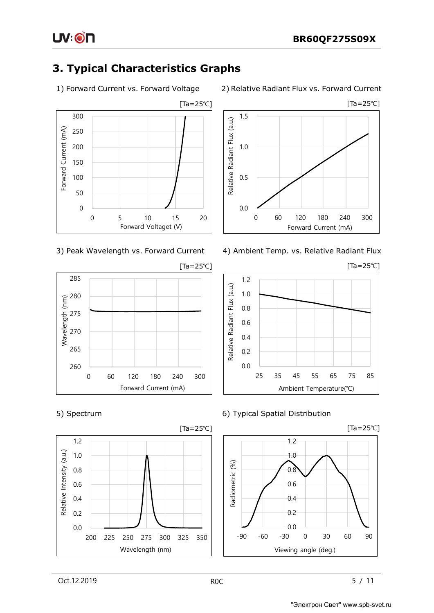









### 1) Forward Current vs. Forward Voltage 2) Relative Radiant Flux vs. Forward Current



3) Peak Wavelength vs. Forward Current 4) Ambient Temp. vs. Relative Radiant Flux



5) Spectrum 6) Typical Spatial Distribution



UV:ON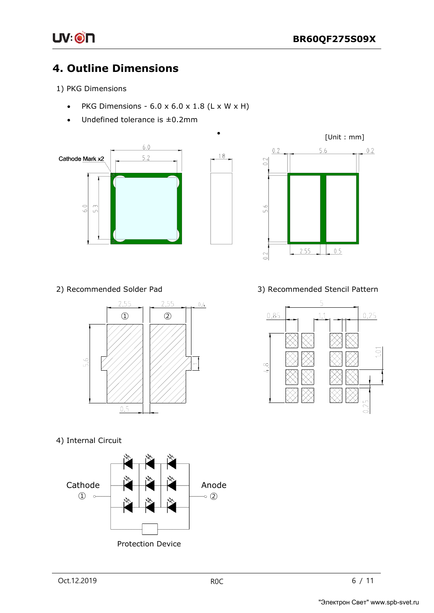

## **4. Outline Dimensions**

1) PKG Dimensions

• PKG Dimensions -  $6.0 \times 6.0 \times 1.8$  (L  $\times$  W  $\times$  H)

•

 $1.8$ 

Undefined tolerance is  $\pm$ 0.2mm







4) Internal Circuit



2) Recommended Solder Pad 3) Recommended Stencil Pattern

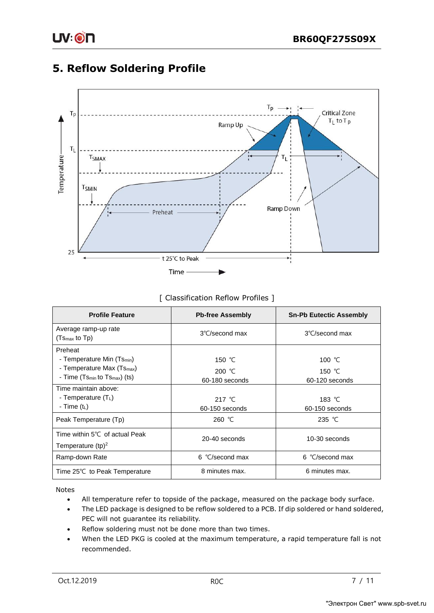### **5. Reflow Soldering Profile**



### [ Classification Reflow Profiles ]

| <b>Profile Feature</b>                                                                          | <b>Pb-free Assembly</b>                | <b>Sn-Pb Eutectic Assembly</b>         |
|-------------------------------------------------------------------------------------------------|----------------------------------------|----------------------------------------|
| Average ramp-up rate<br>$(Tsmax$ to Tp)                                                         | 3°C/second max                         | 3°C/second max                         |
| Preheat<br>- Temperature Min (Ts <sub>min</sub> )                                               |                                        |                                        |
| - Temperature Max (Ts <sub>max</sub> )<br>- Time (Ts <sub>min</sub> to Ts <sub>max</sub> ) (ts) | 150 $°C$<br>200 $°C$<br>60-180 seconds | 100 $°C$<br>150 $°C$<br>60-120 seconds |
| Time maintain above:<br>- Temperature $(T_L)$<br>- Time $(t_L)$                                 | 217 $\degree$ C<br>60-150 seconds      | 183 $°C$<br>60-150 seconds             |
| Peak Temperature (Tp)                                                                           | 260 $°C$                               | 235 $°C$                               |
| Time within $5^{\circ}$ C of actual Peak<br>Temperature $(tp)^2$                                | 20-40 seconds                          | 10-30 seconds                          |
| Ramp-down Rate                                                                                  | $6 \degree$ C/second max               | $6 \degree$ C/second max               |
| Time 25℃ to Peak Temperature                                                                    | 8 minutes max.                         | 6 minutes max.                         |

Notes

- All temperature refer to topside of the package, measured on the package body surface.
- The LED package is designed to be reflow soldered to a PCB. If dip soldered or hand soldered, PEC will not guarantee its reliability.
- Reflow soldering must not be done more than two times.
- When the LED PKG is cooled at the maximum temperature, a rapid temperature fall is not recommended.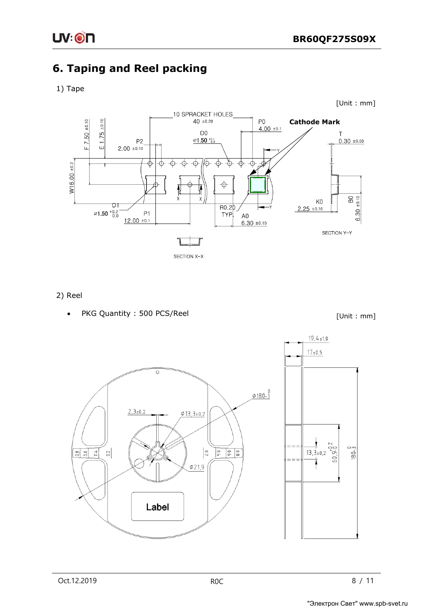

## **6. Taping and Reel packing**

### 1) Tape



2) Reel

PKG Quantity : 500 PCS/Reel

[Unit : mm]

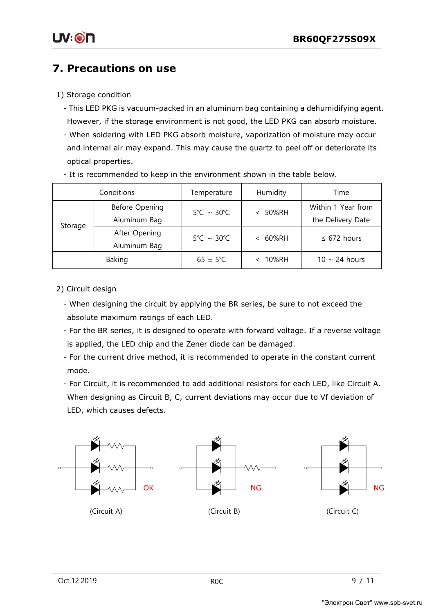## **7. Precautions on use**

### 1) Storage condition

- This LED PKG is vacuum-packed in an aluminum bag containing a dehumidifying agent. However, if the storage environment is not good, the LED PKG can absorb moisture.
- When soldering with LED PKG absorb moisture, vaporization of moisture may occur and internal air may expand. This may cause the quartz to peel off or deteriorate its optical properties.

|         | Conditions                                                                             | Temperature                     | Humidity                          | Time               |
|---------|----------------------------------------------------------------------------------------|---------------------------------|-----------------------------------|--------------------|
|         | Before Opening<br>$5^{\circ}$ C ~ 30 $^{\circ}$ C<br>50%RH<br>$\overline{\phantom{0}}$ |                                 | Within 1 Year from                |                    |
| Storage | Aluminum Bag                                                                           |                                 |                                   | the Delivery Date  |
|         | After Opening                                                                          | $5^{\circ}$ C ~ 30 $^{\circ}$ C | 60%RH<br>$\overline{\phantom{0}}$ | $\leq$ 672 hours   |
|         | Aluminum Bag                                                                           |                                 |                                   |                    |
|         | Baking                                                                                 | $65 \pm 5^{\circ}C$             | 10%RH                             | $10 \sim 24$ hours |

- It is recommended to keep in the environment shown in the table below.

- 2) Circuit design
	- When designing the circuit by applying the BR series, be sure to not exceed the absolute maximum ratings of each LED.
	- For the BR series, it is designed to operate with forward voltage. If a reverse voltage is applied, the LED chip and the Zener diode can be damaged.
	- For the current drive method, it is recommended to operate in the constant current mode.
	- For Circuit, it is recommended to add additional resistors for each LED, like Circuit A. When designing as Circuit B, C, current deviations may occur due to Vf deviation of LED, which causes defects.

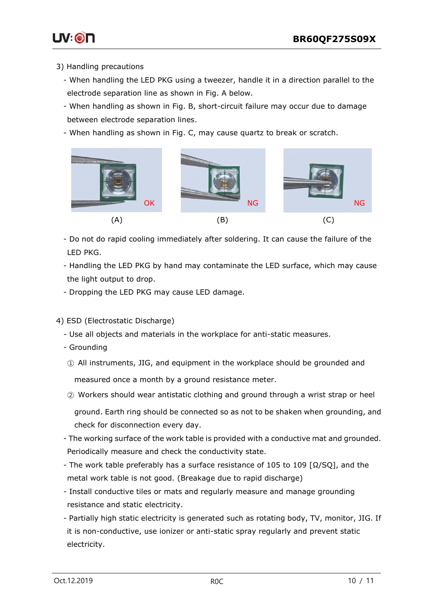

- 3) Handling precautions
	- When handling the LED PKG using a tweezer, handle it in a direction parallel to the electrode separation line as shown in Fig. A below.
	- When handling as shown in Fig. B, short-circuit failure may occur due to damage between electrode separation lines.
	- When handling as shown in Fig. C, may cause quartz to break or scratch.



- Do not do rapid cooling immediately after soldering. It can cause the failure of the LED PKG.
- Handling the LED PKG by hand may contaminate the LED surface, which may cause the light output to drop.
- Dropping the LED PKG may cause LED damage.
- 4) ESD (Electrostatic Discharge)
	- Use all objects and materials in the workplace for anti-static measures.
	- Grounding
	- ① All instruments, JIG, and equipment in the workplace should be grounded and measured once a month by a ground resistance meter.
	- ② Workers should wear antistatic clothing and ground through a wrist strap or heel ground. Earth ring should be connected so as not to be shaken when grounding, and check for disconnection every day.
	- The working surface of the work table is provided with a conductive mat and grounded. Periodically measure and check the conductivity state.
	- The work table preferably has a surface resistance of 105 to 109 [Ω/SQ], and the metal work table is not good. (Breakage due to rapid discharge)
	- Install conductive tiles or mats and regularly measure and manage grounding resistance and static electricity.
	- Partially high static electricity is generated such as rotating body, TV, monitor, JIG. If it is non-conductive, use ionizer or anti-static spray regularly and prevent static electricity.